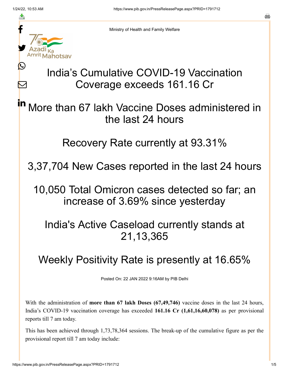≛

Ŀ

 $\bm{\nabla}$ 



Ministry of Health and Family Welfare

## India's Cumulative COVID-19 Vaccination Coverage exceeds 161.16 Cr

More than 67 lakh Vaccine Doses administered in the last 24 hours in

Recovery Rate currently at 93.31%

3,37,704 New Cases reported in the last 24 hours

10,050 Total Omicron cases detected so far; an increase of 3.69% since yesterday

India's Active Caseload currently stands at 21,13,365

## Weekly Positivity Rate is presently at 16.65%

Posted On: 22 JAN 2022 9:16AM by PIB Delhi

With the administration of **more than 67 lakh Doses (67,49,746)** vaccine doses in the last 24 hours, India's COVID-19 vaccination coverage has exceeded **161.16 Cr (1,61,16,60,078)** as per provisional reports till 7 am today.

This has been achieved through 1,73,78,364 sessions. The break-up of the cumulative figure as per the provisional report till 7 am today include: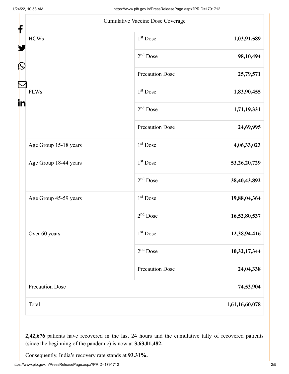|                        | Cumulative Vaccine Dose Coverage |                 |
|------------------------|----------------------------------|-----------------|
| <b>HCWs</b>            | $1st$ Dose                       | 1,03,91,589     |
|                        | $2nd$ Dose                       | 98,10,494       |
|                        | <b>Precaution Dose</b>           | 25,79,571       |
| <b>FLWs</b>            | 1 <sup>st</sup> Dose             | 1,83,90,455     |
|                        | $2nd$ Dose                       | 1,71,19,331     |
|                        | <b>Precaution Dose</b>           | 24,69,995       |
| Age Group 15-18 years  | $1st$ Dose                       | 4,06,33,023     |
| Age Group 18-44 years  | $1st$ Dose                       | 53, 26, 20, 729 |
|                        | $2nd$ Dose                       | 38,40,43,892    |
| Age Group 45-59 years  | 1 <sup>st</sup> Dose             | 19,88,04,364    |
|                        | $2nd$ Dose                       | 16,52,80,537    |
| Over 60 years          | $1st$ Dose                       | 12,38,94,416    |
|                        | $2nd$ Dose                       | 10,32,17,344    |
|                        | <b>Precaution Dose</b>           | 24,04,338       |
| <b>Precaution Dose</b> |                                  | 74,53,904       |
| Total                  |                                  | 1,61,16,60,078  |

**2,42,676** patients have recovered in the last 24 hours and the cumulative tally of recovered patients (since the beginning of the pandemic) is now at **3,63,01,482.**

Consequently, India's recovery rate stands at **93.31%.**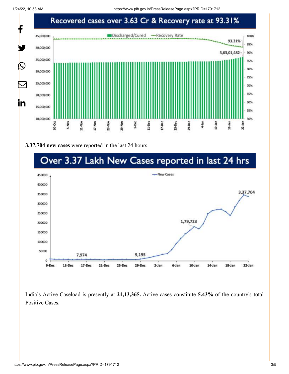1/24/22, 10:53 AM https://www.pib.gov.in/PressReleasePage.aspx?PRID=1791712



**3,37,704 new cases** were reported in the last 24 hours.

## Over 3.37 Lakh New Cases reported in last 24 hrs



India's Active Caseload is presently at **21,13,365.** Active cases constitute **5.43%** of the country's total Positive Cases**.**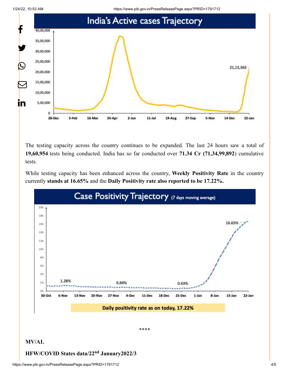



The testing capacity across the country continues to be expanded. The last 24 hours saw a total of **19,60,954** tests being conducted. India has so far conducted over **71.34 Cr (71,34,99,892**) cumulative tests.

While testing capacity has been enhanced across the country, **Weekly Positivity Rate** in the country currently **stands at 16.65%** and the **Daily Positivity rate also reported to be 17.22%.**